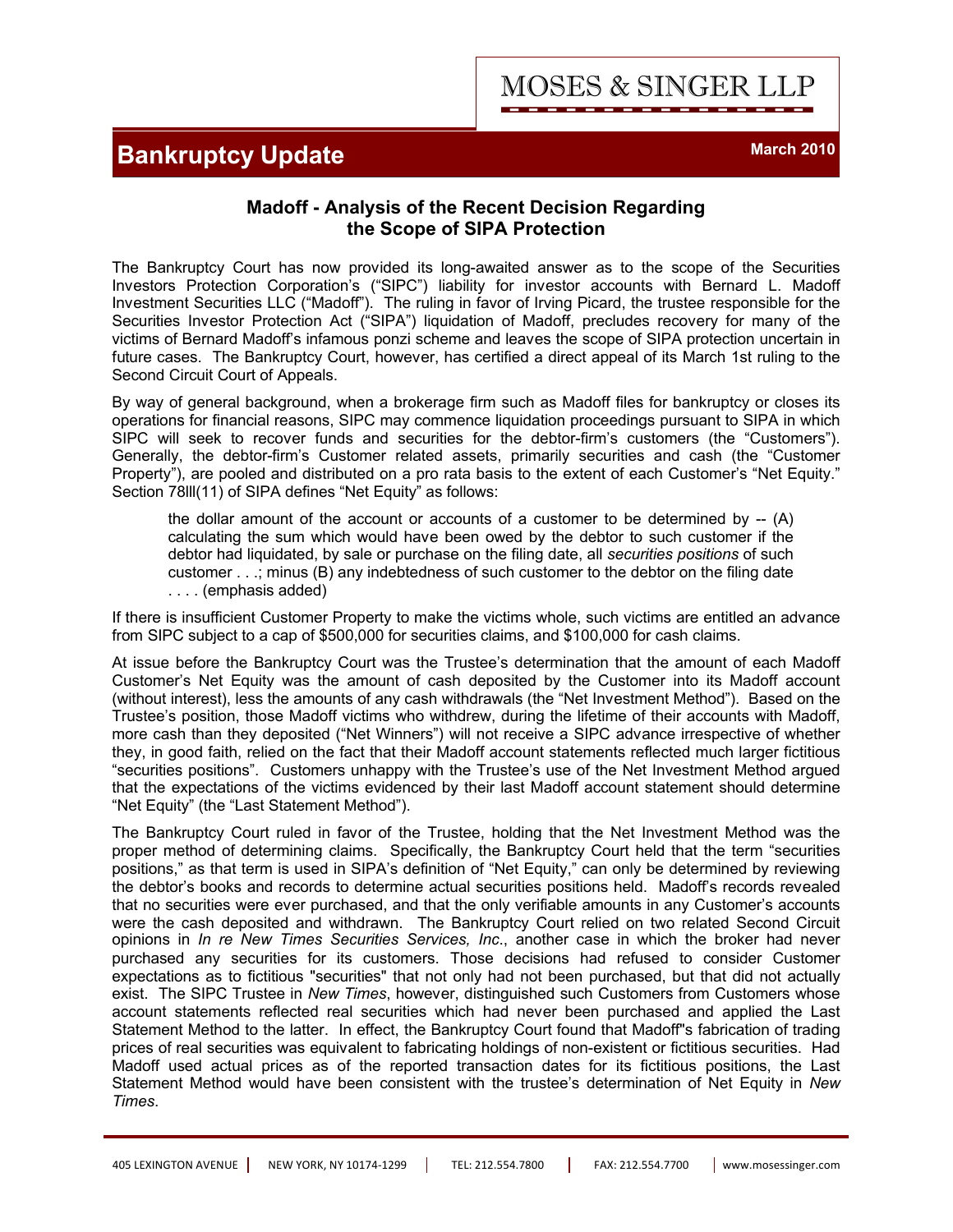## **Bankruptcy Update March 2010 March 2010**

MOSES & SINGER LLP

## **Madoff - Analysis of the Recent Decision Regarding the Scope of SIPA Protection**

The Bankruptcy Court has now provided its long-awaited answer as to the scope of the Securities Investors Protection Corporation's ("SIPC") liability for investor accounts with Bernard L. Madoff Investment Securities LLC ("Madoff"). The ruling in favor of Irving Picard, the trustee responsible for the Securities Investor Protection Act ("SIPA") liquidation of Madoff, precludes recovery for many of the victims of Bernard Madoff's infamous ponzi scheme and leaves the scope of SIPA protection uncertain in future cases. The Bankruptcy Court, however, has certified a direct appeal of its March 1st ruling to the Second Circuit Court of Appeals.

By way of general background, when a brokerage firm such as Madoff files for bankruptcy or closes its operations for financial reasons, SIPC may commence liquidation proceedings pursuant to SIPA in which SIPC will seek to recover funds and securities for the debtor-firm's customers (the "Customers"). Generally, the debtor-firm's Customer related assets, primarily securities and cash (the "Customer Property"), are pooled and distributed on a pro rata basis to the extent of each Customer's "Net Equity." Section 78lll(11) of SIPA defines "Net Equity" as follows:

the dollar amount of the account or accounts of a customer to be determined by  $-$  (A) calculating the sum which would have been owed by the debtor to such customer if the debtor had liquidated, by sale or purchase on the filing date, all *securities positions* of such customer . . .; minus (B) any indebtedness of such customer to the debtor on the filing date . . . . (emphasis added)

If there is insufficient Customer Property to make the victims whole, such victims are entitled an advance from SIPC subject to a cap of \$500,000 for securities claims, and \$100,000 for cash claims.

At issue before the Bankruptcy Court was the Trustee's determination that the amount of each Madoff Customer's Net Equity was the amount of cash deposited by the Customer into its Madoff account (without interest), less the amounts of any cash withdrawals (the "Net Investment Method"). Based on the Trustee's position, those Madoff victims who withdrew, during the lifetime of their accounts with Madoff, more cash than they deposited ("Net Winners") will not receive a SIPC advance irrespective of whether they, in good faith, relied on the fact that their Madoff account statements reflected much larger fictitious "securities positions". Customers unhappy with the Trustee's use of the Net Investment Method argued that the expectations of the victims evidenced by their last Madoff account statement should determine "Net Equity" (the "Last Statement Method").

The Bankruptcy Court ruled in favor of the Trustee, holding that the Net Investment Method was the proper method of determining claims. Specifically, the Bankruptcy Court held that the term "securities positions," as that term is used in SIPA's definition of "Net Equity," can only be determined by reviewing the debtor's books and records to determine actual securities positions held. Madoff's records revealed that no securities were ever purchased, and that the only verifiable amounts in any Customer's accounts were the cash deposited and withdrawn. The Bankruptcy Court relied on two related Second Circuit opinions in *In re New Times Securities Services, Inc*., another case in which the broker had never purchased any securities for its customers. Those decisions had refused to consider Customer expectations as to fictitious "securities" that not only had not been purchased, but that did not actually exist. The SIPC Trustee in *New Times*, however, distinguished such Customers from Customers whose account statements reflected real securities which had never been purchased and applied the Last Statement Method to the latter. In effect, the Bankruptcy Court found that Madoff"s fabrication of trading prices of real securities was equivalent to fabricating holdings of non-existent or fictitious securities. Had Madoff used actual prices as of the reported transaction dates for its fictitious positions, the Last Statement Method would have been consistent with the trustee's determination of Net Equity in *New Times*.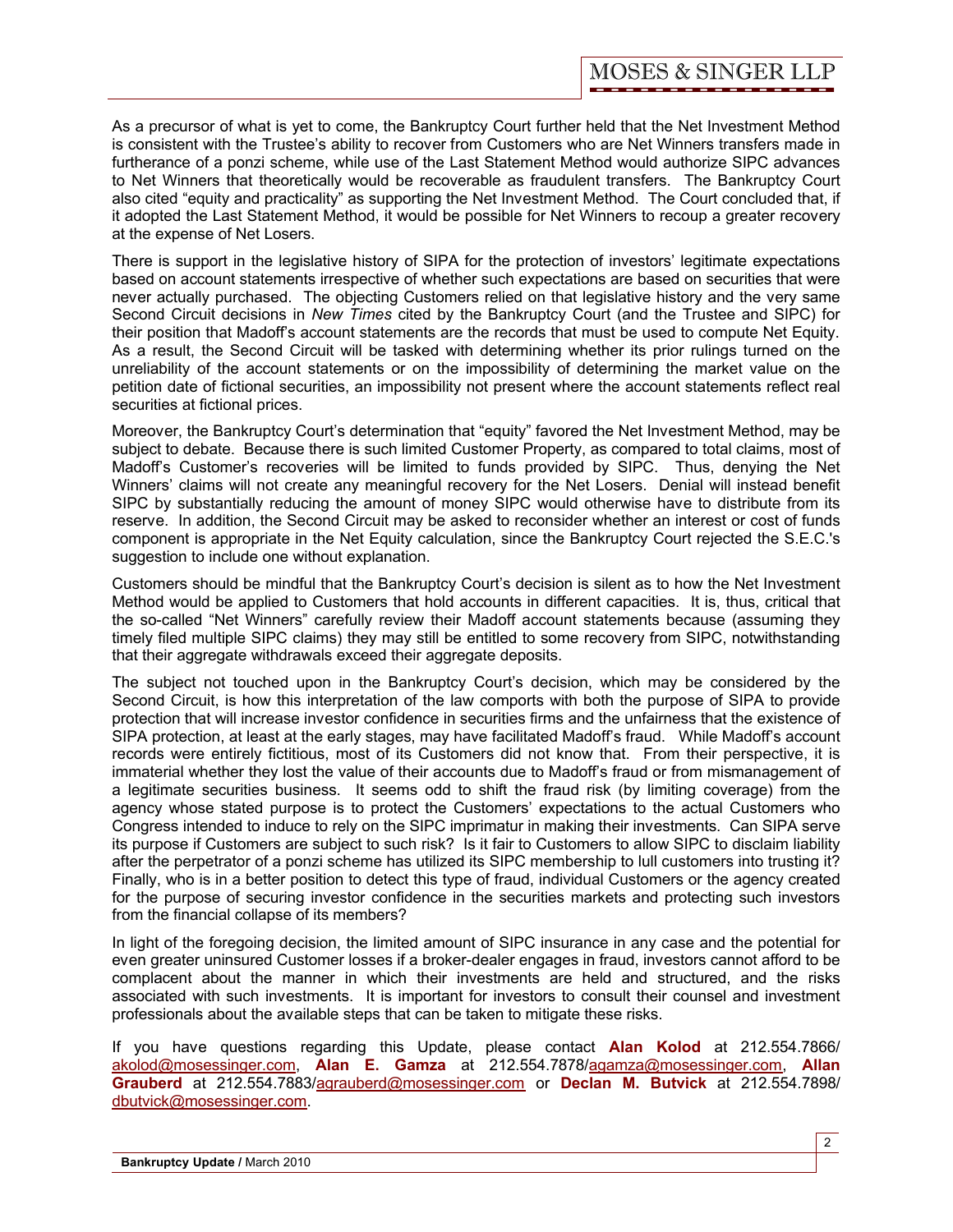As a precursor of what is yet to come, the Bankruptcy Court further held that the Net Investment Method is consistent with the Trustee's ability to recover from Customers who are Net Winners transfers made in furtherance of a ponzi scheme, while use of the Last Statement Method would authorize SIPC advances to Net Winners that theoretically would be recoverable as fraudulent transfers. The Bankruptcy Court also cited "equity and practicality" as supporting the Net Investment Method. The Court concluded that, if it adopted the Last Statement Method, it would be possible for Net Winners to recoup a greater recovery at the expense of Net Losers.

There is support in the legislative history of SIPA for the protection of investors' legitimate expectations based on account statements irrespective of whether such expectations are based on securities that were never actually purchased. The objecting Customers relied on that legislative history and the very same Second Circuit decisions in *New Times* cited by the Bankruptcy Court (and the Trustee and SIPC) for their position that Madoff's account statements are the records that must be used to compute Net Equity. As a result, the Second Circuit will be tasked with determining whether its prior rulings turned on the unreliability of the account statements or on the impossibility of determining the market value on the petition date of fictional securities, an impossibility not present where the account statements reflect real securities at fictional prices.

Moreover, the Bankruptcy Court's determination that "equity" favored the Net Investment Method, may be subject to debate. Because there is such limited Customer Property, as compared to total claims, most of Madoff's Customer's recoveries will be limited to funds provided by SIPC. Thus, denying the Net Winners' claims will not create any meaningful recovery for the Net Losers. Denial will instead benefit SIPC by substantially reducing the amount of money SIPC would otherwise have to distribute from its reserve. In addition, the Second Circuit may be asked to reconsider whether an interest or cost of funds component is appropriate in the Net Equity calculation, since the Bankruptcy Court rejected the S.E.C.'s suggestion to include one without explanation.

Customers should be mindful that the Bankruptcy Court's decision is silent as to how the Net Investment Method would be applied to Customers that hold accounts in different capacities. It is, thus, critical that the so-called "Net Winners" carefully review their Madoff account statements because (assuming they timely filed multiple SIPC claims) they may still be entitled to some recovery from SIPC, notwithstanding that their aggregate withdrawals exceed their aggregate deposits.

The subject not touched upon in the Bankruptcy Court's decision, which may be considered by the Second Circuit, is how this interpretation of the law comports with both the purpose of SIPA to provide protection that will increase investor confidence in securities firms and the unfairness that the existence of SIPA protection, at least at the early stages, may have facilitated Madoff's fraud. While Madoff's account records were entirely fictitious, most of its Customers did not know that. From their perspective, it is immaterial whether they lost the value of their accounts due to Madoff's fraud or from mismanagement of a legitimate securities business. It seems odd to shift the fraud risk (by limiting coverage) from the agency whose stated purpose is to protect the Customers' expectations to the actual Customers who Congress intended to induce to rely on the SIPC imprimatur in making their investments. Can SIPA serve its purpose if Customers are subject to such risk? Is it fair to Customers to allow SIPC to disclaim liability after the perpetrator of a ponzi scheme has utilized its SIPC membership to lull customers into trusting it? Finally, who is in a better position to detect this type of fraud, individual Customers or the agency created for the purpose of securing investor confidence in the securities markets and protecting such investors from the financial collapse of its members?

In light of the foregoing decision, the limited amount of SIPC insurance in any case and the potential for even greater uninsured Customer losses if a broker-dealer engages in fraud, investors cannot afford to be complacent about the manner in which their investments are held and structured, and the risks associated with such investments. It is important for investors to consult their counsel and investment professionals about the available steps that can be taken to mitigate these risks.

If you have questions regarding this Update, please contact **[Alan Kolod](http://www.mosessinger.com/personnel/akolod/)** at 212.554.7866/ akolod@mosessinger.com, **[Alan E. Gamza](http://www.mosessinger.com/personnel/agamza/)** at 212.554.7878/agamza@mosessinger.com, **Allan Grauberd** [at 212.554.7883/agrauberd@mosessinger.com](http://www.mosessinger.com/personnel/agrauberd/) or **[Declan M. Butvick](http://www.mosessinger.com/personnel/dbutvick/)** at 212.554.7898/ dbutvick@mosessinger.com.